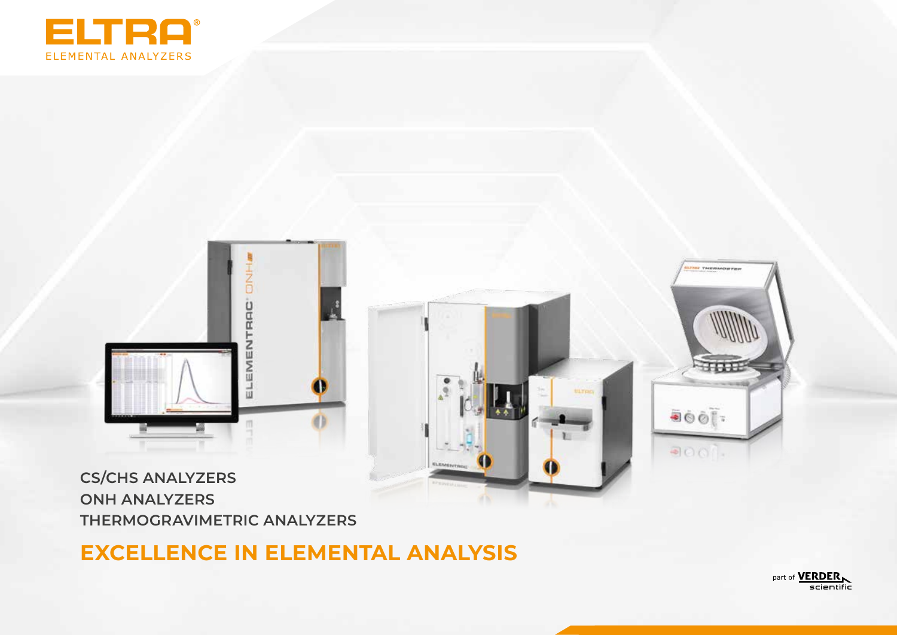



**CS/CHS ANALYZERS ONH ANALYZERS THERMOGRAVIMETRIC ANALYZERS**

# **EXCELLENCE IN ELEMENTAL ANALYSIS**

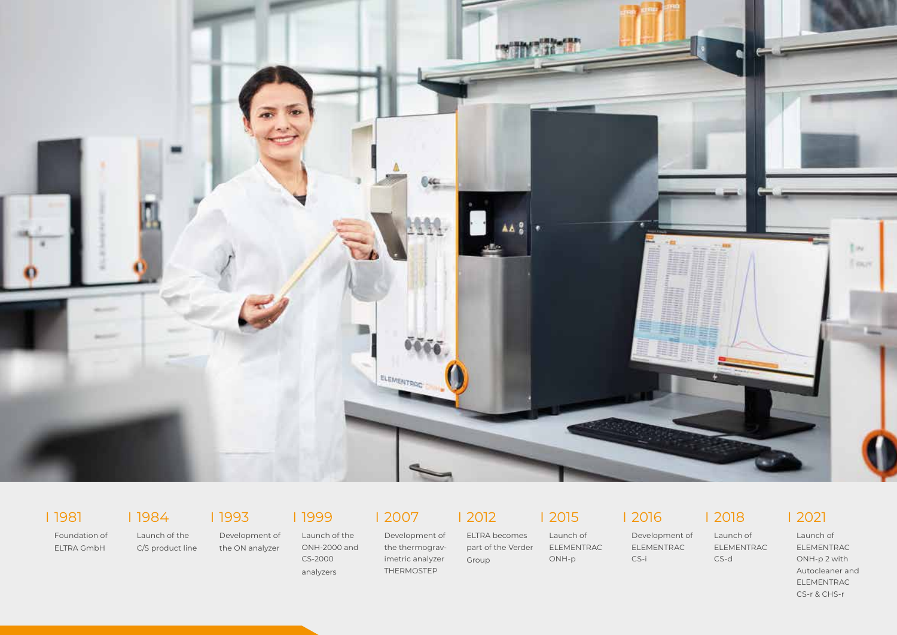

I 1981

Foundation of ELTRA GmbH

I 1984

Launch of the I 1993

C/S product line Development of the ON analyzer

I 1999 Launch of the ONH-2000 and CS-2000

I 2007

analyzers Development of the thermogravimetric analyzer THERMOSTEP

I 2012

Group

ELTRA becomes part of the Verder Launch of ELEMENTRAC ONH-p

I 2015

I 2016

CS-i

Development of ELEMENTRAC I 2018

Launch of ELEMENTRAC

CS-d

I 2021

Launch of ELEMENTRAC ONH-p 2 with Autocleaner and ELEMENTRAC CS-r & CHS-r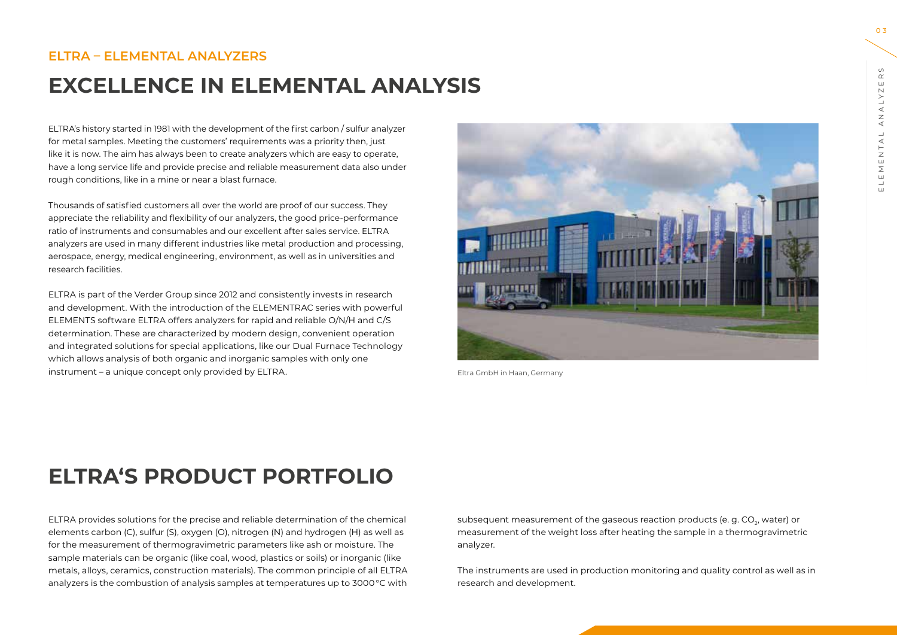#### **ELTRA – ELEMENTAL ANALYZERS**

## **EXCELLENCE IN ELEMENTAL ANALYSIS**

ELTRA's history started in 1981 with the development of the first carbon / sulfur analyzer for metal samples. Meeting the customers' requirements was a priority then, just like it is now. The aim has always been to create analyzers which are easy to operate, have a long service life and provide precise and reliable measurement data also under rough conditions, like in a mine or near a blast furnace.

Thousands of satisfied customers all over the world are proof of our success. They appreciate the reliability and flexibility of our analyzers, the good price-performance ratio of instruments and consumables and our excellent after sales service. ELTRA analyzers are used in many different industries like metal production and processing, aerospace, energy, medical engineering, environment, as well as in universities and research facilities.

ELTRA is part of the Verder Group since 2012 and consistently invests in research and development. With the introduction of the ELEMENTRAC series with powerful ELEMENTS software ELTRA offers analyzers for rapid and reliable O/N/H and C/S determination. These are characterized by modern design, convenient operation and integrated solutions for special applications, like our Dual Furnace Technology which allows analysis of both organic and inorganic samples with only one instrument – a unique concept only provided by ELTRA. The state of the state of the Eltra GmbH in Haan, Germany



# **ELTRA'S PRODUCT PORTFOLIO**

ELTRA provides solutions for the precise and reliable determination of the chemical elements carbon (C), sulfur (S), oxygen (O), nitrogen (N) and hydrogen (H) as well as for the measurement of thermogravimetric parameters like ash or moisture. The sample materials can be organic (like coal, wood, plastics or soils) or inorganic (like metals, alloys, ceramics, construction materials). The common principle of all ELTRA analyzers is the combustion of analysis samples at temperatures up to 3000 °C with subsequent measurement of the gaseous reaction products (e. g. CO<sub>2</sub>, water) or measurement of the weight loss after heating the sample in a thermogravimetric analyzer.

The instruments are used in production monitoring and quality control as well as in research and development.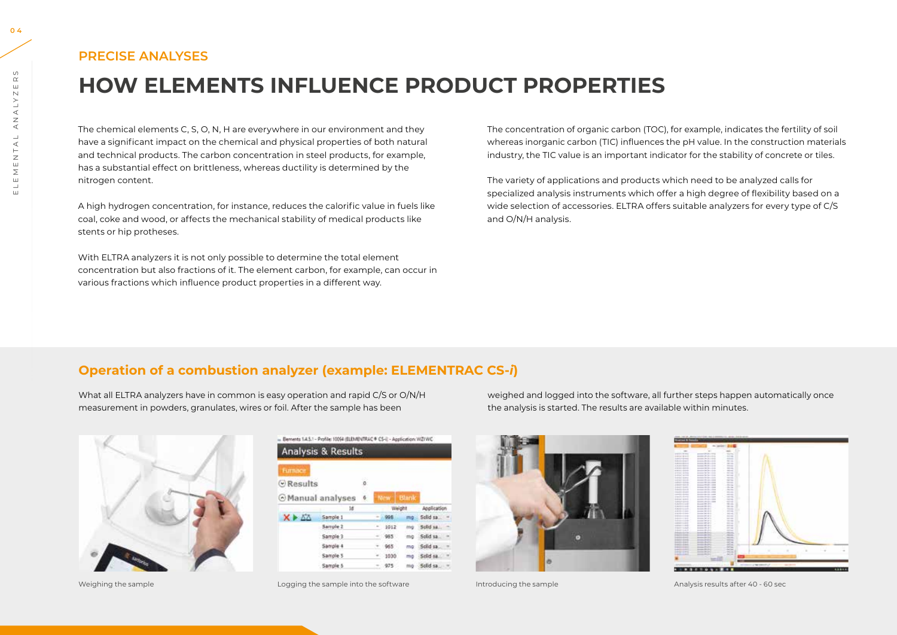#### **PRECISE ANALYSES**

# **HOW ELEMENTS INFLUENCE PRODUCT PROPERTIES**

The chemical elements C, S, O, N, H are everywhere in our environment and they have a significant impact on the chemical and physical properties of both natural and technical products. The carbon concentration in steel products, for example, has a substantial effect on brittleness, whereas ductility is determined by the nitrogen content.

A high hydrogen concentration, for instance, reduces the calorific value in fuels like coal, coke and wood, or affects the mechanical stability of medical products like stents or hip protheses.

With ELTRA analyzers it is not only possible to determine the total element concentration but also fractions of it. The element carbon, for example, can occur in various fractions which influence product properties in a different way.

The concentration of organic carbon (TOC), for example, indicates the fertility of soil whereas inorganic carbon (TIC) influences the pH value. In the construction materials industry, the TIC value is an important indicator for the stability of concrete or tiles.

The variety of applications and products which need to be analyzed calls for specialized analysis instruments which offer a high degree of flexibility based on a wide selection of accessories. ELTRA offers suitable analyzers for every type of C/S and O/N/H analysis.

## **Operation of a combustion analyzer (example: ELEMENTRAC CS-***i***)**

What all ELTRA analyzers have in common is easy operation and rapid C/S or O/N/H measurement in powders, granulates, wires or foil. After the sample has been



|                              | <b>Analysis &amp; Results</b> |    |        |            |                |             |  |
|------------------------------|-------------------------------|----|--------|------------|----------------|-------------|--|
| <b>Furnace</b>               |                               |    |        |            |                |             |  |
| <b>C</b> Results             |                               | 55 |        |            |                |             |  |
| õ.<br><b>Manual analyses</b> |                               |    |        | <b>New</b> | <b>Blank</b>   |             |  |
|                              | 1đ                            |    | Weight |            |                | Application |  |
| X DA                         | Sample 1                      |    |        | 998        | m <sub>0</sub> | Solid sall  |  |
|                              | Sample 2                      |    |        | 1012       | trig           | Solid sa.   |  |
|                              | Sample 3                      |    |        | 985        | mg             | Solid sa    |  |
|                              | Sample 4                      |    |        | 965        | ma             | Sciid sa:   |  |
|                              | Samole <sub>5</sub>           |    |        | 1030       | mo             | Sclid sa.   |  |
|                              | Sample 5                      |    |        | 975        |                | mo Solid sa |  |

Weighing the sample **Logging the sample into the software** Introducing the sample Analysis results after 40 - 60 sec

weighed and logged into the software, all further steps happen automatically once the analysis is started. The results are available within minutes.



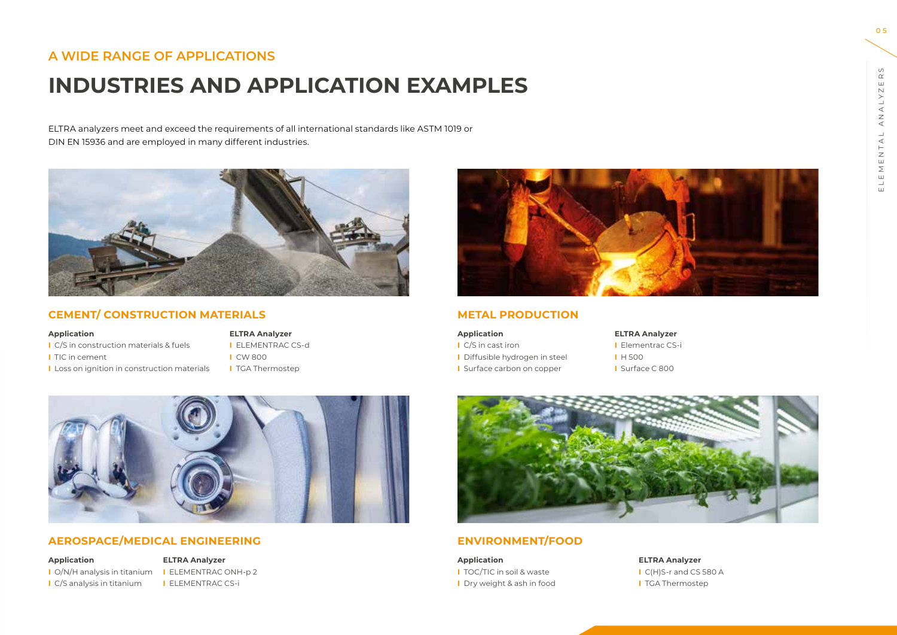## **A WIDE RANGE OF APPLICATIONS**

# **INDUSTRIES AND APPLICATION EXAMPLES**

ELTRA analyzers meet and exceed the requirements of all international standards like ASTM 1019 or DIN EN 15936 and are employed in many different industries.



#### **CEMENT/ CONSTRUCTION MATERIALS**

#### **Application ELTRA Analyzer**

- **I** C/S in construction materials & fuels **I** ELEMENTRAC CS-d
- 
- **I** Loss on ignition in construction materials **I** TGA Thermostep

**I** TIC in cement **I** CW 800



#### **METAL PRODUCTION**

| <b>Application</b>           |  |  |  |  |
|------------------------------|--|--|--|--|
| C/S in cast iron             |  |  |  |  |
| Diffusible hydrogen in steel |  |  |  |  |
| Surface carbon on copper     |  |  |  |  |

**ELTRA Analyzer I** Elementrac CS-i **I** Diffusible hydrogen in steel **I** H 500 **I** Surface C 800



#### **ENVIRONMENT/FOOD**

**Application ELTRA Analyzer I** TOC/TIC in soil & waste **I** C(H)S-r and CS 580 A **I** Dry weight & ash in food **I** TGA Thermostep

#### **AEROSPACE/MEDICAL ENGINEERING**

**I** O/N/H analysis in titanium **I** ELEMENTRAC ONH-p 2 **I** C/S analysis in titanium **I** ELEMENTRAC CS-i

**Application ELTRA Analyzer**

0 5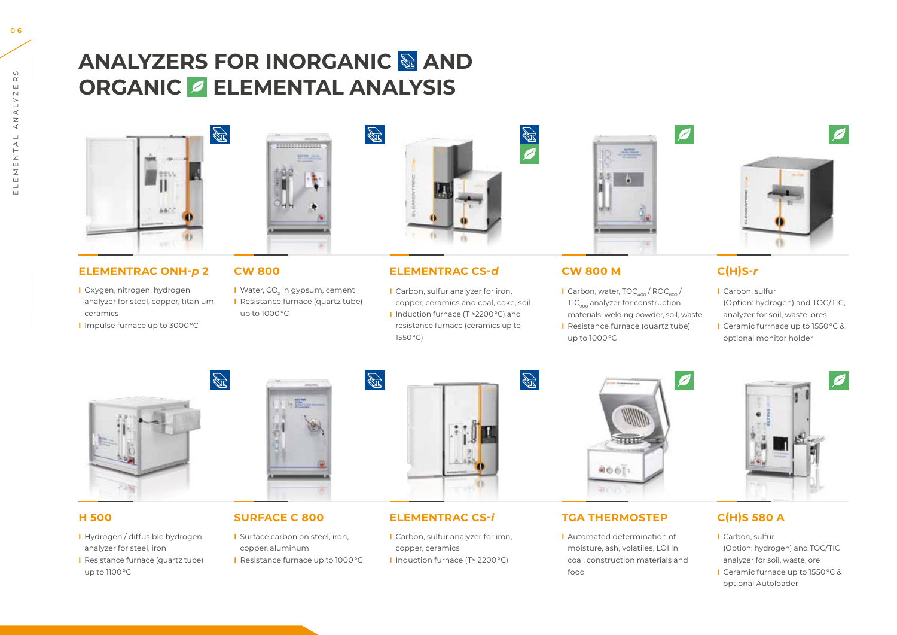# **ANALYZERS FOR INORGANIC & AND ORGANIC ELEMENTAL ANALYSIS**



#### **ELEMENTRAC ONH-***p* **2**

**I** Oxygen, nitrogen, hydrogen analyzer for steel, copper, titanium, ceramics **I** Impulse furnace up to 3000 °C



#### **CW 800**

**I** Water, CO<sub>2</sub> in gypsum, cement **I** Resistance furnace (quartz tube) up to 1000 °C

 $\frac{1}{\sqrt{2}}$ 



#### **ELEMENTRAC CS-***d*

**I** Carbon, sulfur analyzer for iron, copper, ceramics and coal, coke, soil **I** Induction furnace (T >2200 °C) and resistance furnace (ceramics up to 1550 °C)



#### **CW 800 M**

**I** Carbon, water, TOC<sub>400</sub> / ROC<sub>600</sub> / TIC<sub>000</sub> analyzer for construction materials, welding powder, soil, waste **I** Resistance furnace (quartz tube) up to 1000 °C



#### **C(H)S-***r*

**I** Carbon, sulfur (Option: hydrogen) and TOC/TIC, analyzer for soil, waste, ores **I** Ceramic furrnace up to 1550 °C & optional monitor holder



#### **H 500**

**I** Hydrogen / diffusible hydrogen analyzer for steel, iron **I** Resistance furnace (quartz tube) up to 1100 °C



#### **SURFACE C 800**

**I** Surface carbon on steel, iron, copper, aluminum **I** Resistance furnace up to 1000 °C



#### **ELEMENTRAC CS-***i*

**I** Carbon, sulfur analyzer for iron, copper, ceramics **I** Induction furnace (T> 2200 °C)



#### **TGA THERMOSTEP**

**I** Automated determination of moisture, ash, volatiles, LOI in coal, construction materials and food



#### **C(H)S 580 A**

- **I** Carbon, sulfur (Option: hydrogen) and TOC/TIC analyzer for soil, waste, ore
- **I** Ceramic furnace up to 1550 °C & optional Autoloader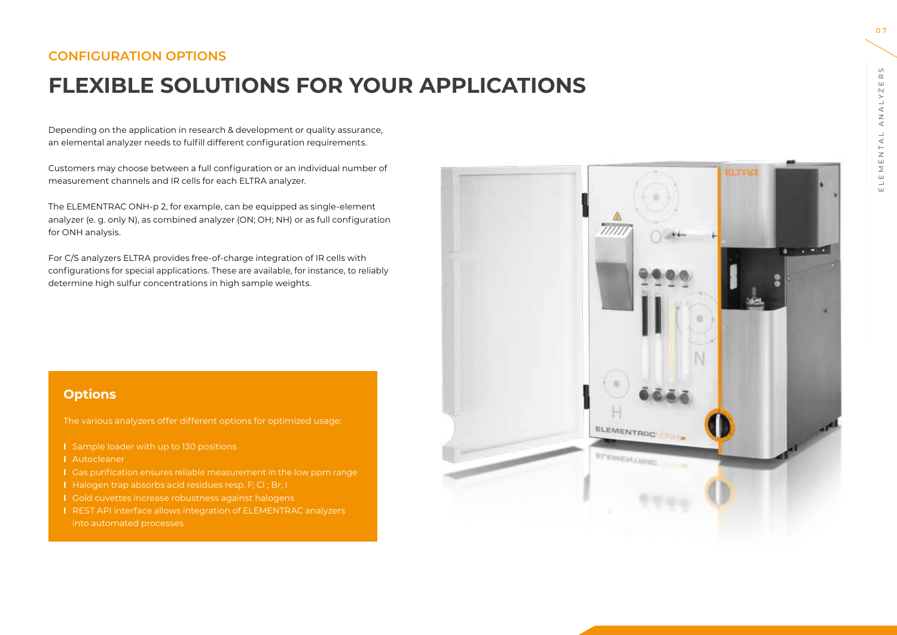## **CONFIGURATION OPTIONS**

# **FLEXIBLE SOLUTIONS FOR YOUR APPLICATIONS**

Depending on the application in research & development or quality assurance, an elemental analyzer needs to fulfill different configuration requirements.

Customers may choose between a full configuration or an individual number of measurement channels and IR cells for each ELTRA analyzer.

The ELEMENTRAC ONH-p 2, for example, can be equipped as single-element analyzer (e. g. only N), as combined analyzer (ON; OH; NH) or as full configuration for ONH analysis.

For C/S analyzers ELTRA provides free-of-charge integration of IR cells with configurations for special applications. These are available, for instance, to reliably determine high sulfur concentrations in high sample weights.

#### **Options**

The various analyzers offer different options for optimized usage:

- **I** Sample loader with up to 130 positions
- **I** Autocleaner
- **I** Gas purification ensures reliable measurement in the low ppm range
- **I** Halogen trap absorbs acid residues resp. F; Cl ; Br; I
- **I** Gold cuvettes increase robustness against halogens
- **I** REST API interface allows integration of ELEMENTRAC analyzers



0 7